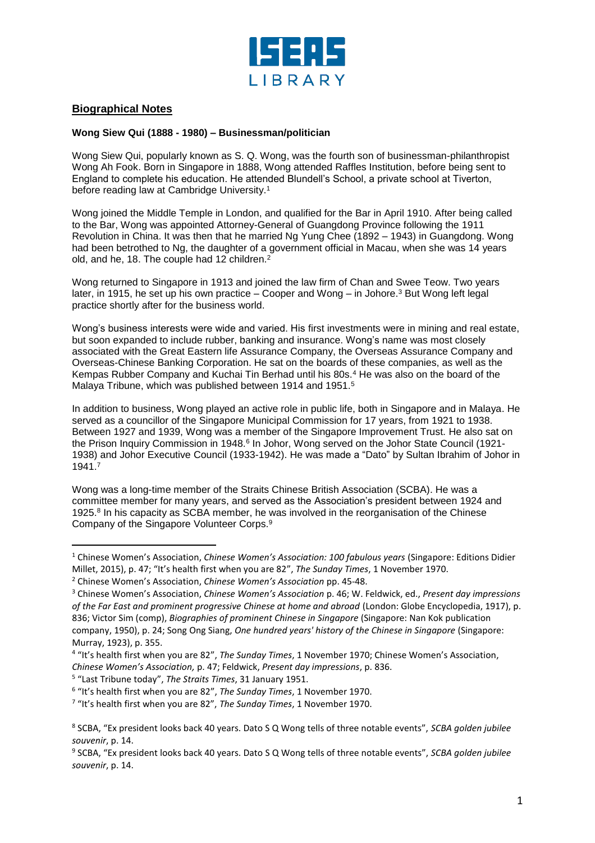

## **Biographical Notes**

l

## **Wong Siew Qui (1888 - 1980) – Businessman/politician**

Wong Siew Qui, popularly known as S. Q. Wong, was the fourth son of businessman-philanthropist Wong Ah Fook. Born in Singapore in 1888, Wong attended Raffles Institution, before being sent to England to complete his education. He attended Blundell's School, a private school at Tiverton, before reading law at Cambridge University.<sup>1</sup>

Wong joined the Middle Temple in London, and qualified for the Bar in April 1910. After being called to the Bar, Wong was appointed Attorney-General of Guangdong Province following the 1911 Revolution in China. It was then that he married Ng Yung Chee (1892 – 1943) in Guangdong. Wong had been betrothed to Ng, the daughter of a government official in Macau, when she was 14 years old, and he, 18. The couple had 12 children.<sup>2</sup>

Wong returned to Singapore in 1913 and joined the law firm of Chan and Swee Teow. Two years later, in 1915, he set up his own practice – Cooper and Wong – in Johore.<sup>3</sup> But Wong left legal practice shortly after for the business world.

Wong's business interests were wide and varied. His first investments were in mining and real estate, but soon expanded to include rubber, banking and insurance. Wong's name was most closely associated with the Great Eastern life Assurance Company, the Overseas Assurance Company and Overseas-Chinese Banking Corporation. He sat on the boards of these companies, as well as the Kempas Rubber Company and Kuchai Tin Berhad until his 80s.<sup>4</sup> He was also on the board of the Malaya Tribune, which was published between 1914 and 1951.<sup>5</sup>

In addition to business, Wong played an active role in public life, both in Singapore and in Malaya. He served as a councillor of the Singapore Municipal Commission for 17 years, from 1921 to 1938. Between 1927 and 1939, Wong was a member of the Singapore Improvement Trust. He also sat on the Prison Inquiry Commission in 1948.<sup>6</sup> In Johor, Wong served on the Johor State Council (1921-1938) and Johor Executive Council (1933-1942). He was made a "Dato" by Sultan Ibrahim of Johor in 1941.<sup>7</sup>

Wong was a long-time member of the Straits Chinese British Association (SCBA). He was a committee member for many years, and served as the Association's president between 1924 and 1925.<sup>8</sup> In his capacity as SCBA member, he was involved in the reorganisation of the Chinese Company of the Singapore Volunteer Corps.<sup>9</sup>

5 "Last Tribune today", *The Straits Times*, 31 January 1951.

<sup>1</sup> Chinese Women's Association, *Chinese Women's Association: 100 fabulous years* (Singapore: Editions Didier Millet, 2015), p. 47; "It's health first when you are 82", *The Sunday Times*, 1 November 1970.

<sup>2</sup> Chinese Women's Association, *Chinese Women's Association* pp. 45-48.

<sup>3</sup> Chinese Women's Association, *Chinese Women's Association* p. 46; W. Feldwick, ed., *Present day impressions of the Far East and prominent progressive Chinese at home and abroad* (London: Globe Encyclopedia, 1917), p. 836; Victor Sim (comp), *Biographies of prominent Chinese in Singapore* (Singapore: Nan Kok publication company, 1950), p. 24; Song Ong Siang, *One hundred years' history of the Chinese in Singapore* (Singapore: Murray, 1923), p. 355.

<sup>4</sup> "It's health first when you are 82", *The Sunday Times*, 1 November 1970; Chinese Women's Association, *Chinese Women's Association,* p. 47; Feldwick, *Present day impressions*, p. 836.

<sup>6</sup> "It's health first when you are 82", *The Sunday Times*, 1 November 1970.

<sup>7</sup> "It's health first when you are 82", *The Sunday Times*, 1 November 1970.

<sup>8</sup> SCBA, "Ex president looks back 40 years. Dato S Q Wong tells of three notable events", *SCBA golden jubilee souvenir*, p. 14.

<sup>9</sup> SCBA, "Ex president looks back 40 years. Dato S Q Wong tells of three notable events", *SCBA golden jubilee souvenir*, p. 14.